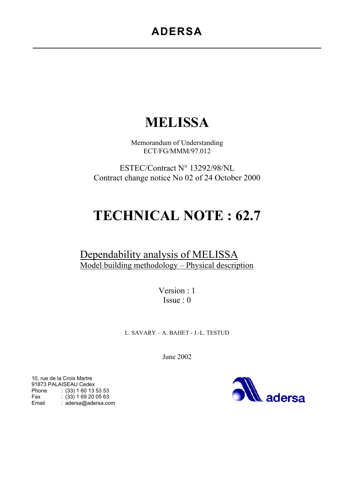# **ADERSA**

# **MELISSA**

Memorandum of Understanding ECT/FG/MMM/97.012

ESTEC/Contract N° 13292/98/NL Contract change notice No 02 of 24 October 2000

# **TECHNICAL NOTE : 62.7**

# Dependability analysis of MELISSA Model building methodology – Physical description

Version : 1 Issue : 0

L. SAVARY – A. BAHET - J.-L. TESTUD

June 2002

adersa

10, rue de la Croix Martre 91873 PALAISEAU Cedex Phone : (33) 1 60 13 53 53 Fax : (33) 1 69 20 05 63 Email : adersa@adersa.com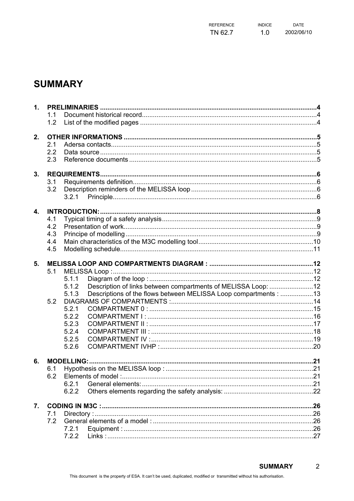| REFERENCE | <b>INDICE</b> | <b>DATE</b> |
|-----------|---------------|-------------|
| TN 62.7   | 1.0           | 2002/06/10  |

# **SUMMARY**

| 1. |     |                                                                           |  |
|----|-----|---------------------------------------------------------------------------|--|
|    | 1.1 |                                                                           |  |
|    | 1.2 |                                                                           |  |
| 2. |     |                                                                           |  |
|    | 2.1 |                                                                           |  |
|    | 2.2 |                                                                           |  |
|    | 2.3 |                                                                           |  |
|    |     |                                                                           |  |
| 3. |     |                                                                           |  |
|    | 3.1 |                                                                           |  |
|    | 3.2 |                                                                           |  |
|    |     |                                                                           |  |
| 4. |     | <b>INTRODUCTION:</b>                                                      |  |
|    | 4.1 |                                                                           |  |
|    | 4.2 |                                                                           |  |
|    | 4.3 |                                                                           |  |
|    | 4.4 |                                                                           |  |
|    | 4.5 |                                                                           |  |
| 5. |     |                                                                           |  |
|    | 5.1 |                                                                           |  |
|    |     | 5.1.1                                                                     |  |
|    |     | Description of links between compartments of MELISSA Loop: 12<br>5.1.2    |  |
|    |     | Descriptions of the flows between MELISSA Loop compartments : 13<br>5.1.3 |  |
|    | 5.2 |                                                                           |  |
|    |     | 5.2.1                                                                     |  |
|    |     | 5.2.2                                                                     |  |
|    |     | 5.2.3                                                                     |  |
|    |     | 5.2.4                                                                     |  |
|    |     | 5.2.5                                                                     |  |
|    |     | 5.2.6                                                                     |  |
| 6. |     |                                                                           |  |
|    |     |                                                                           |  |
|    | 6.2 |                                                                           |  |
|    |     | 6.2.1                                                                     |  |
|    |     | 6.2.2                                                                     |  |
|    |     |                                                                           |  |
| 7. | 7.1 |                                                                           |  |
|    | 7.2 |                                                                           |  |
|    |     | 7.2.1                                                                     |  |
|    |     | 7.2.2                                                                     |  |
|    |     |                                                                           |  |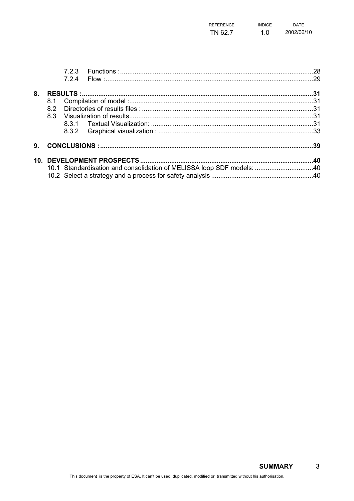| <b>REFERENCE</b> | <b>INDICE</b> | <b>DATE</b> |
|------------------|---------------|-------------|
| TN 62.7          | 1.0           | 2002/06/10  |

|    |     | 724 |                                                                       |  |
|----|-----|-----|-----------------------------------------------------------------------|--|
| 8. |     |     |                                                                       |  |
|    | 8.1 |     |                                                                       |  |
|    | 82  |     |                                                                       |  |
|    | 8.3 |     |                                                                       |  |
|    |     |     |                                                                       |  |
|    |     |     |                                                                       |  |
| 9. |     |     |                                                                       |  |
|    |     |     |                                                                       |  |
|    |     |     | 10.1 Standardisation and consolidation of MELISSA loop SDF models: 40 |  |
|    |     |     |                                                                       |  |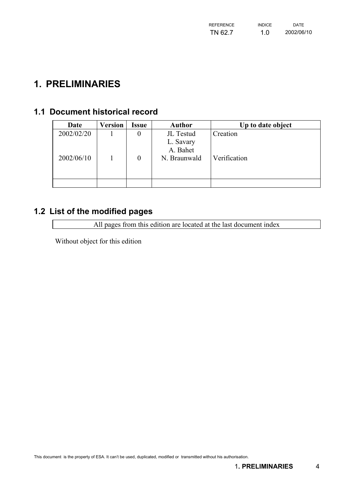| REFERENCE | <b>INDICF</b> | <b>DATE</b> |
|-----------|---------------|-------------|
| TN 62.7   | 1.0           | 2002/06/10  |

# <span id="page-3-0"></span>**1. PRELIMINARIES**

# **1.1 Document historical record**

| Date       | Version | Issue          | <b>Author</b> | Up to date object |
|------------|---------|----------------|---------------|-------------------|
| 2002/02/20 |         | 0              | JL Testud     | Creation          |
|            |         |                | L. Savary     |                   |
|            |         |                | A. Bahet      |                   |
| 2002/06/10 |         | $\overline{0}$ | N. Braunwald  | Verification      |
|            |         |                |               |                   |
|            |         |                |               |                   |
|            |         |                |               |                   |

# **1.2 List of the modified pages**

All pages from this edition are located at the last document index

Without object for this edition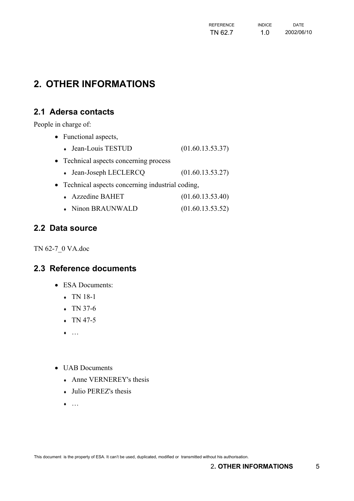| REFERENCE | <b>INDICF</b> | <b>DATE</b> |
|-----------|---------------|-------------|
| TN 62.7   | 1.0           | 2002/06/10  |

# <span id="page-4-0"></span>**2. OTHER INFORMATIONS**

### **2.1 Adersa contacts**

People in charge of:

- Functional aspects,
	- $\bullet$  Jean-Louis TESTUD  $(01.60.13.53.37)$
- Technical aspects concerning process
	- $\bullet$  Jean-Joseph LECLERCQ  $(01.60.13.53.27)$
- Technical aspects concerning industrial coding,
	- ♦ Azzedine BAHET (01.60.13.53.40)
	- Ninon BRAUNWALD (01.60.13.53.52)

#### **2.2 Data source**

TN 62-7\_0 VA.doc

### **2.3 Reference documents**

- ESA Documents:
	- $\cdot$  TN 18-1
	- $\arrow$  TN 37-6
	- $\arrow$  TN 47-5
	- $\bullet$  …
- UAB Documents
	- ♦ Anne VERNEREY's thesis
	- ♦ Julio PEREZ's thesis
	- $\bullet$  …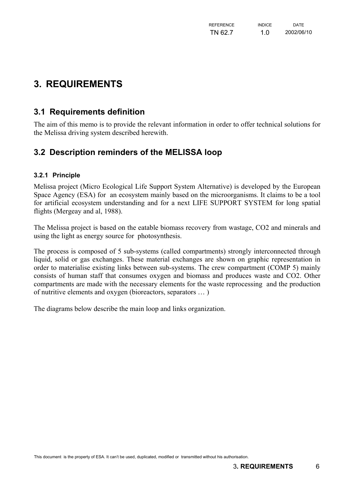# <span id="page-5-0"></span>**3. REQUIREMENTS**

### **3.1 Requirements definition**

The aim of this memo is to provide the relevant information in order to offer technical solutions for the Melissa driving system described herewith.

## **3.2 Description reminders of the MELISSA loop**

#### **3.2.1 Principle**

Melissa project (Micro Ecological Life Support System Alternative) is developed by the European Space Agency (ESA) for an ecosystem mainly based on the microorganisms. It claims to be a tool for artificial ecosystem understanding and for a next LIFE SUPPORT SYSTEM for long spatial flights (Mergeay and al, 1988).

The Melissa project is based on the eatable biomass recovery from wastage, CO2 and minerals and using the light as energy source for photosynthesis.

The process is composed of 5 sub-systems (called compartments) strongly interconnected through liquid, solid or gas exchanges. These material exchanges are shown on graphic representation in order to materialise existing links between sub-systems. The crew compartment (COMP 5) mainly consists of human staff that consumes oxygen and biomass and produces waste and CO2. Other compartments are made with the necessary elements for the waste reprocessing and the production of nutritive elements and oxygen (bioreactors, separators … )

The diagrams below describe the main loop and links organization.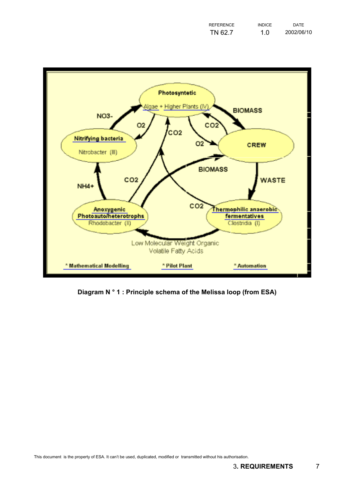| <b>REFERENCE</b> | <b>INDICE</b> | <b>DATE</b> |
|------------------|---------------|-------------|
| TN 62.7          | 1.0           | 2002/06/10  |



**Diagram N ° 1 : Principle schema of the Melissa loop (from ESA)**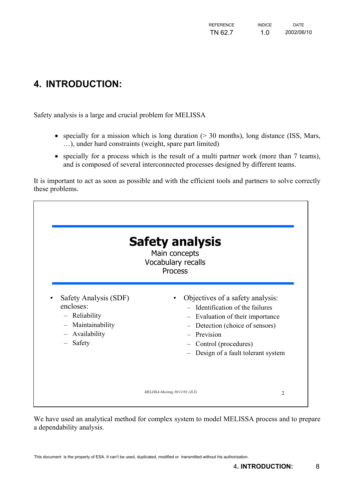# <span id="page-7-0"></span>**4. INTRODUCTION:**

r

Safety analysis is a large and crucial problem for MELISSA

- specially for a mission which is long duration ( $> 30$  months), long distance (ISS, Mars, …), under hard constraints (weight, spare part limited)
- specially for a process which is the result of a multi partner work (more than 7 teams), and is composed of several interconnected processes designed by different teams.

It is important to act as soon as possible and with the efficient tools and partners to solve correctly these problems.

| <b>Safety analysis</b><br>Main concepts<br>Vocabulary recalls<br><b>Process</b>                          |                                                                                                                                                                                                                                                        |  |  |  |
|----------------------------------------------------------------------------------------------------------|--------------------------------------------------------------------------------------------------------------------------------------------------------------------------------------------------------------------------------------------------------|--|--|--|
| Safety Analysis (SDF)<br>encloses:<br>- Reliability<br>- Maintainability<br>- Availability<br>$-$ Safety | Objectives of a safety analysis:<br>- Identification of the failures<br>- Evaluation of their importance<br>Detection (choice of sensors)<br>$\qquad \qquad -$<br>Prevision<br>$\equiv$<br>- Control (procedures)<br>Design of a fault tolerant system |  |  |  |
|                                                                                                          | MELISSA-Meeting 30/11/01 (JLT)<br>2                                                                                                                                                                                                                    |  |  |  |

We have used an analytical method for complex system to model MELISSA process and to prepare a dependability analysis.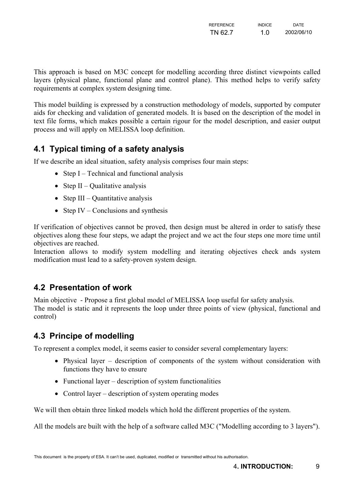| REFERENCE | <b>INDICF</b> | <b>DATE</b> |
|-----------|---------------|-------------|
| TN 62.7   | 1.0           | 2002/06/10  |

<span id="page-8-0"></span>This approach is based on M3C concept for modelling according three distinct viewpoints called layers (physical plane, functional plane and control plane). This method helps to verify safety requirements at complex system designing time.

This model building is expressed by a construction methodology of models, supported by computer aids for checking and validation of generated models. It is based on the description of the model in text file forms, which makes possible a certain rigour for the model description, and easier output process and will apply on MELISSA loop definition.

## **4.1 Typical timing of a safety analysis**

If we describe an ideal situation, safety analysis comprises four main steps:

- Step I Technical and functional analysis
- Step II Qualitative analysis
- Step III Quantitative analysis
- Step IV Conclusions and synthesis

If verification of objectives cannot be proved, then design must be altered in order to satisfy these objectives along these four steps, we adapt the project and we act the four steps one more time until objectives are reached.

Interaction allows to modify system modelling and iterating objectives check ands system modification must lead to a safety-proven system design.

### **4.2 Presentation of work**

Main objective - Propose a first global model of MELISSA loop useful for safety analysis. The model is static and it represents the loop under three points of view (physical, functional and control)

### **4.3 Principe of modelling**

To represent a complex model, it seems easier to consider several complementary layers:

- Physical layer description of components of the system without consideration with functions they have to ensure
- Functional layer description of system functionalities
- Control layer description of system operating modes

We will then obtain three linked models which hold the different properties of the system.

All the models are built with the help of a software called M3C ("Modelling according to 3 layers").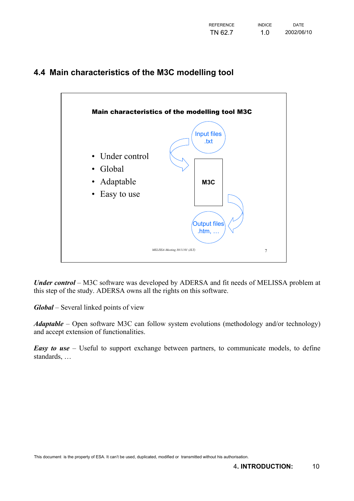<span id="page-9-0"></span>



*Under control* – M3C software was developed by ADERSA and fit needs of MELISSA problem at this step of the study. ADERSA owns all the rights on this software.

*Global* – Several linked points of view

*Adaptable* – Open software M3C can follow system evolutions (methodology and/or technology) and accept extension of functionalities.

*Easy to use* – Useful to support exchange between partners, to communicate models, to define standards, …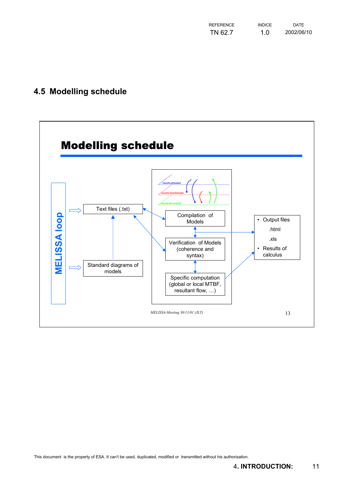| <b>REFERENCE</b> | <b>INDICE</b> | <b>DATE</b> |
|------------------|---------------|-------------|
| TN 62.7          | 1.0           | 2002/06/10  |

# <span id="page-10-0"></span>**4.5 Modelling schedule**

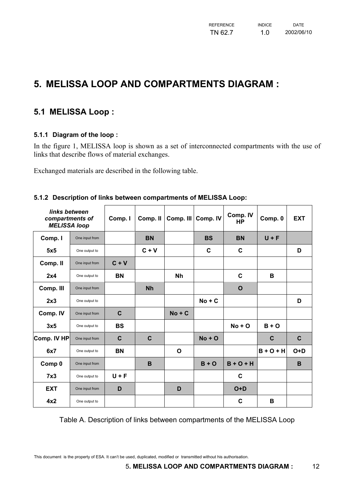# <span id="page-11-0"></span>**5. MELISSA LOOP AND COMPARTMENTS DIAGRAM :**

### **5.1 MELISSA Loop :**

#### **5.1.1 Diagram of the loop :**

In the figure 1, MELISSA loop is shown as a set of interconnected compartments with the use of links that describe flows of material exchanges.

Exchanged materials are described in the following table.

| links between<br>compartments of<br><b>MELISSA loop</b> |                | Comp. I     | Comp. II    | Comp. III    | Comp. IV  | Comp. IV<br>НP | Comp. 0     | <b>EXT</b>  |
|---------------------------------------------------------|----------------|-------------|-------------|--------------|-----------|----------------|-------------|-------------|
| Comp. I                                                 | One input from |             | <b>BN</b>   |              | <b>BS</b> | <b>BN</b>      | $U + F$     |             |
| 5x5                                                     | One output to  |             | $C + V$     |              | C         | C              |             | D           |
| Comp. II                                                | One input from | $C + V$     |             |              |           |                |             |             |
| 2x4                                                     | One output to  | <b>BN</b>   |             | <b>Nh</b>    |           | $\mathbf c$    | в           |             |
| Comp. III                                               | One input from |             | <b>Nh</b>   |              |           | $\mathbf O$    |             |             |
| 2x3                                                     | One output to  |             |             |              | $No + C$  |                |             | D           |
| Comp. IV                                                | One input from | $\mathbf C$ |             | $No + C$     |           |                |             |             |
| 3x5                                                     | One output to  | <b>BS</b>   |             |              |           | $No + O$       | $B + O$     |             |
| Comp. IV HP                                             | One input from | $\mathbf C$ | $\mathbf C$ |              | $No + O$  |                | $\mathbf c$ | $\mathbf c$ |
| 6x7                                                     | One output to  | <b>BN</b>   |             | $\mathbf{o}$ |           |                | $B + O + H$ | $O+D$       |
| Comp 0                                                  | One input from |             | B           |              | $B + O$   | $B + O + H$    |             | B           |
| 7x3                                                     | One output to  | $U + F$     |             |              |           | $\mathbf c$    |             |             |
| <b>EXT</b>                                              | One input from | D           |             | D            |           | $O+D$          |             |             |
| 4x2                                                     | One output to  |             |             |              |           | $\mathbf c$    | B           |             |

#### **5.1.2 Description of links between compartments of MELISSA Loop:**

Table A. Description of links between compartments of the MELISSA Loop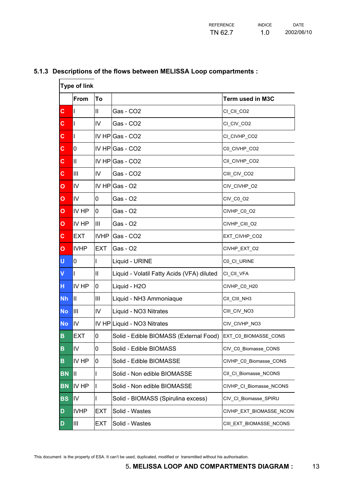| <b>Type of link</b> |               |                |                                            |                         |
|---------------------|---------------|----------------|--------------------------------------------|-------------------------|
|                     | From          | To             |                                            | Term used in M3C        |
| $\mathbf c$         | L             | $\mathbf{II}$  | Gas - CO2                                  | CI_CII_CO2              |
| C                   | $\mathbf{I}$  | $\mathsf{IV}$  | Gas - CO2                                  | CI_CIV_CO2              |
| C.                  | $\mathbf{I}$  |                | IV HP Gas - CO2                            | CI_CIVHP_CO2            |
| $\mathbf c$         | 0             |                | $IV$ HP Gas - CO2                          | C0_CIVHP_CO2            |
| C                   | $\mathbf{II}$ |                | $IV$ HP Gas - CO2                          | CII_CIVHP_CO2           |
| C                   | III           | IV             | Gas - CO2                                  | CIII_CIV_CO2            |
| $\mathbf{o}$        | IV            |                | IV HP $\textsf{Gas} - \textsf{O2}$         | CIV_CIVHP_O2            |
| $\mathbf{o}$        | IV            | 0              | Gas - O2                                   | CIV_C0_O2               |
| $\overline{O}$      | IV HP         | 0              | Gas - O2                                   | CIVHP_C0_O2             |
| $\mathbf{o}$        | IV HP         | $\mathsf{III}$ | Gas - O2                                   | CIVHP_CIII_O2           |
| $\mathbf{C}$        | <b>EXT</b>    | <b>IVHP</b>    | Gas - CO2                                  | EXT_CIVHP_CO2           |
| $\mathbf{o}$        | <b>IVHP</b>   | <b>EXT</b>     | Gas - O2                                   | CIVHP_EXT_O2            |
| Ù                   | 0             |                | Liquid - URINE                             | C0_CI_URINE             |
| V                   | $\mathbf{I}$  | $\mathsf{II}$  | Liquid - Volatil Fatty Acids (VFA) diluted | CI_CII_VFA              |
| H                   | IV HP         | 0              | Liquid - H2O                               | CIVHP_C0_H20            |
| <b>Nh</b>           | Ш             | Ш              | Liquid - NH3 Ammoniaque                    | CII_CIII_NH3            |
| <b>No</b>           | Ш             | IV             | Liquid - NO3 Nitrates                      | CIII_CIV_NO3            |
| <b>No</b>           | IV            |                | IV HP Liquid - NO3 Nitrates                | CIV_CIVHP_NO3           |
| B                   | <b>EXT</b>    | 0              | Solid - Edible BIOMASS (External Food)     | EXT_C0_BIOMASSE_CONS    |
| B                   | IV            | $\overline{0}$ | Solid - Edible BIOMASS                     | CIV_C0_Biomasse_CONS    |
| B                   | IV HP         | 0              | Solid - Edible BIOMASSE                    | CIVHP_C0_Biomasse_CONS  |
| <b>BN</b>           | Ш             | I              | Solid - Non edible BIOMASSE                | CII_CI_Biomasse_NCONS   |
| <b>BN</b>           | IV HP         | Π              | Solid - Non edible BIOMASSE                | CIVHP_CI_Biomasse_NCONS |
| <b>BS</b>           | IV            | L              | Solid - BIOMASS (Spirulina excess)         | CIV_CI_Biomasse_SPIRU   |
| D                   | <b>IVHP</b>   | <b>EXT</b>     | Solid - Wastes                             | CIVHP_EXT_BIOMASSE_NCON |
| D                   | III           | <b>EXT</b>     | Solid - Wastes                             | CIII_EXT_BIOMASSE_NCONS |

#### <span id="page-12-0"></span>**5.1.3 Descriptions of the flows between MELISSA Loop compartments :**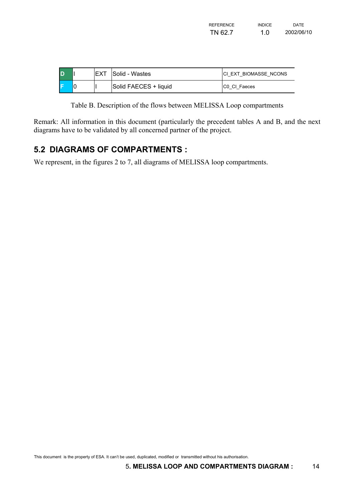| <b>REFERENCE</b> | <b>INDICF</b> | <b>DATE</b> |
|------------------|---------------|-------------|
| TN 62.7          | 1.0           | 2002/06/10  |

<span id="page-13-0"></span>

| ID |  | Solid - Wastes        | ICI EXT BIOMASSE NCONS |
|----|--|-----------------------|------------------------|
|    |  | Solid FAECES + liquid | <b>CO CI Faeces</b>    |

Table B. Description of the flows between MELISSA Loop compartments

Remark: All information in this document (particularly the precedent tables A and B, and the next diagrams have to be validated by all concerned partner of the project.

## **5.2 DIAGRAMS OF COMPARTMENTS :**

We represent, in the figures 2 to 7, all diagrams of MELISSA loop compartments.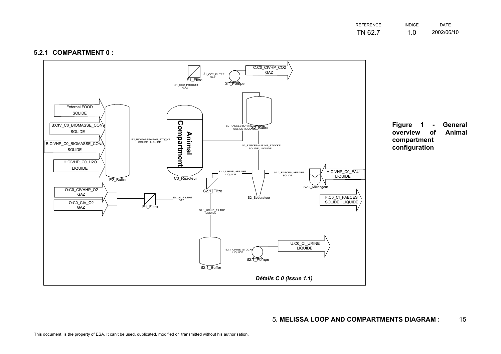| <b>REFERENCE</b> | <b>INDICF</b> | <b>DATE</b> |
|------------------|---------------|-------------|
| TN 62.7          | 1.0           | 2002/06/10  |

#### **5.2.1 COMPARTMENT 0 :**

<span id="page-14-0"></span>

**Figure 1 - General** overview Animal **compartment configuration**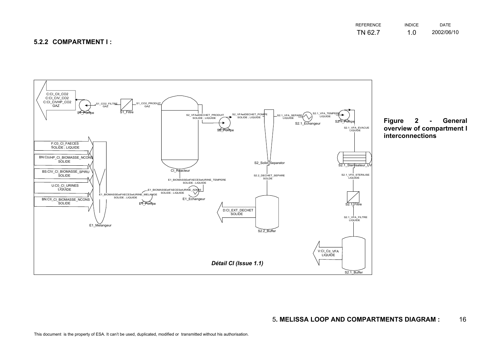#### **5.2.2 COMPARTMENT I :**



<span id="page-15-0"></span>

**Figure 2 - General overview of compartment I interconnections**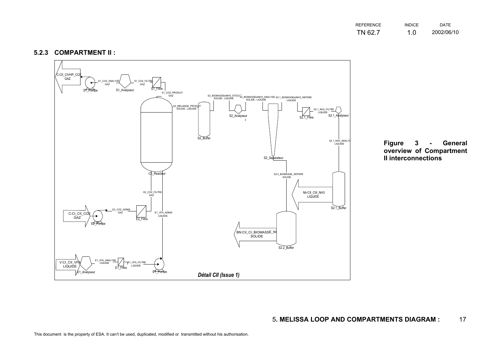| REFERENCE | <b>INDICF</b> | <b>DATE</b> |
|-----------|---------------|-------------|
| TN 62.7   | 1.0           | 2002/06/10  |

#### **5.2.3 COMPARTMENT II :**

<span id="page-16-0"></span>

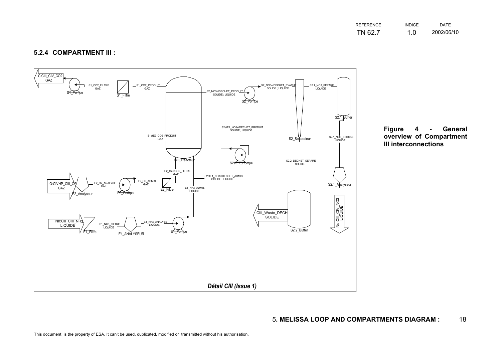| REFERENCE | <b>INDICE</b> | <b>DATE</b> |
|-----------|---------------|-------------|
| TN 62.7   | 1.0           | 2002/06/10  |

#### **5.2.4 COMPARTMENT III :**

<span id="page-17-0"></span>

**Figure 4 - General overview of Compartment III interconnections**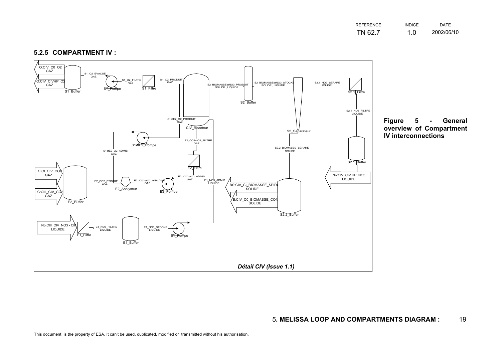| REFERENCE | <b>INDICE</b> | <b>DATE</b> |
|-----------|---------------|-------------|
| TN 62.7   | 1.0           | 2002/06/10  |

<span id="page-18-0"></span>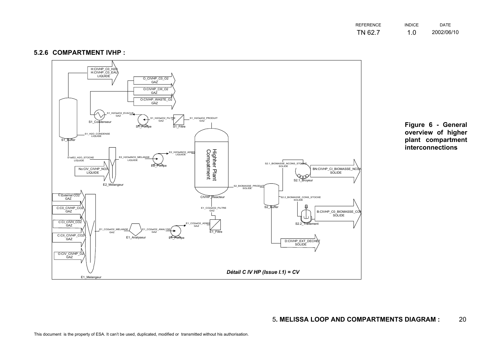| REFERENCE | <b>INDICE</b> | <b>DATE</b> |
|-----------|---------------|-------------|
| TN 62.7   | 1.0           | 2002/06/10  |

#### **5.2.6 COMPARTMENT IVHP :**

<span id="page-19-0"></span>

**Figure 6 - General overview of higher plant compartment interconnections**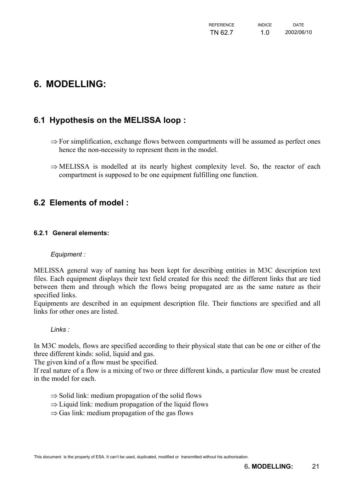# <span id="page-20-0"></span>**6. MODELLING:**

## **6.1 Hypothesis on the MELISSA loop :**

- ⇒ For simplification, exchange flows between compartments will be assumed as perfect ones hence the non-necessity to represent them in the model.
- ⇒ MELISSA is modelled at its nearly highest complexity level. So, the reactor of each compartment is supposed to be one equipment fulfilling one function.

### **6.2 Elements of model :**

#### **6.2.1 General elements:**

#### *Equipment :*

MELISSA general way of naming has been kept for describing entities in M3C description text files. Each equipment displays their text field created for this need: the different links that are tied between them and through which the flows being propagated are as the same nature as their specified links.

Equipments are described in an equipment description file. Their functions are specified and all links for other ones are listed.

*Links :* 

In M3C models, flows are specified according to their physical state that can be one or either of the three different kinds: solid, liquid and gas.

The given kind of a flow must be specified.

If real nature of a flow is a mixing of two or three different kinds, a particular flow must be created in the model for each.

- ⇒ Solid link: medium propagation of the solid flows
- ⇒ Liquid link: medium propagation of the liquid flows
- $\Rightarrow$  Gas link: medium propagation of the gas flows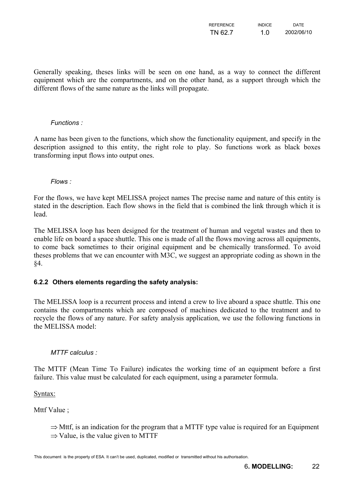| <b>REFERENCE</b> | <b>INDICE</b> | <b>DATE</b> |
|------------------|---------------|-------------|
| TN 62.7          | 1.0           | 2002/06/10  |

<span id="page-21-0"></span>Generally speaking, theses links will be seen on one hand, as a way to connect the different equipment which are the compartments, and on the other hand, as a support through which the different flows of the same nature as the links will propagate.

#### *Functions :*

A name has been given to the functions, which show the functionality equipment, and specify in the description assigned to this entity, the right role to play. So functions work as black boxes transforming input flows into output ones.

#### *Flows :*

For the flows, we have kept MELISSA project names The precise name and nature of this entity is stated in the description. Each flow shows in the field that is combined the link through which it is lead.

The MELISSA loop has been designed for the treatment of human and vegetal wastes and then to enable life on board a space shuttle. This one is made of all the flows moving across all equipments, to come back sometimes to their original equipment and be chemically transformed. To avoid theses problems that we can encounter with M3C, we suggest an appropriate coding as shown in the §4.

#### **6.2.2 Others elements regarding the safety analysis:**

The MELISSA loop is a recurrent process and intend a crew to live aboard a space shuttle. This one contains the compartments which are composed of machines dedicated to the treatment and to recycle the flows of any nature. For safety analysis application, we use the following functions in the MELISSA model:

#### *MTTF calculus :*

The MTTF (Mean Time To Failure) indicates the working time of an equipment before a first failure. This value must be calculated for each equipment, using a parameter formula.

Syntax:

Mttf Value ;

⇒ Mttf, is an indication for the program that a MTTF type value is required for an Equipment  $\Rightarrow$  Value, is the value given to MTTF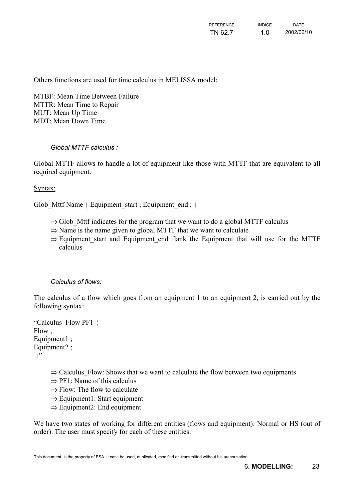Others functions are used for time calculus in MELISSA model:

MTBF: Mean Time Between Failure MTTR: Mean Time to Repair MUT: Mean Up Time MDT: Mean Down Time

#### *Global MTTF calculus :*

Global MTTF allows to handle a lot of equipment like those with MTTF that are equivalent to all required equipment.

#### Syntax:

Glob Mttf Name  $\{$  Equipment start ; Equipment end ;  $\}$ 

- ⇒ Glob\_Mttf indicates for the program that we want to do a global MTTF calculus
- ⇒ Name is the name given to global MTTF that we want to calculate
- ⇒ Equipment\_start and Equipment\_end flank the Equipment that will use for the MTTF calculus

#### *Calculus of flows:*

The calculus of a flow which goes from an equipment 1 to an equipment 2, is carried out by the following syntax:

```
"Calculus_Flow PF1 { 
Flow ; 
Equipment1 :
Equipment2 ; 
 }"
```
 $\Rightarrow$  Calculus Flow: Shows that we want to calculate the flow between two equipments

- $\Rightarrow$  PF1: Name of this calculus
- ⇒ Flow: The flow to calculate
- ⇒ Equipment1: Start equipment
- ⇒ Equipment2: End equipment

We have two states of working for different entities (flows and equipment): Normal or HS (out of order). The user must specify for each of these entities: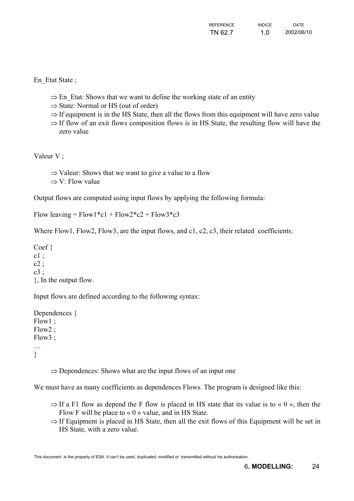En Etat State;

- ⇒ En\_Etat: Shows that we want to define the working state of an entity
- ⇒ State: Normal or HS (out of order)
- $\Rightarrow$  If equipment is in the HS State, then all the flows from this equipment will have zero value
- ⇒ If flow of an exit flows composition flows is in HS State, the resulting flow will have the zero value

Valeur V ;

- ⇒ Valeur: Shows that we want to give a value to a flow
- ⇒ V: Flow value

Output flows are computed using input flows by applying the following formula:

Flow leaving =  $Flow1 * c1 + Flow2 * c2 + Flow3 * c3$ 

Where Flow1, Flow2, Flow3, are the input flows, and c1, c2, c3, their related coefficients:

Coef {  $c1$ :  $c2:$  $c3$ : }, In the output flow.

Input flows are defined according to the following syntax:

Dependences { Flow1 ; Flow2 ; Flow3 ; … }

⇒ Dependences: Shows what are the input flows of an input one

We must have as many coefficients as dependences Flows. The program is designed like this:

- $\Rightarrow$  If a F1 flow as depend the F flow is placed in HS state that its value is to « 0 », then the Flow F will be place to  $\ll 0$  » value, and in HS State.
- ⇒ If Equipment is placed in HS State, then all the exit flows of this Equipment will be set in HS State, with a zero value.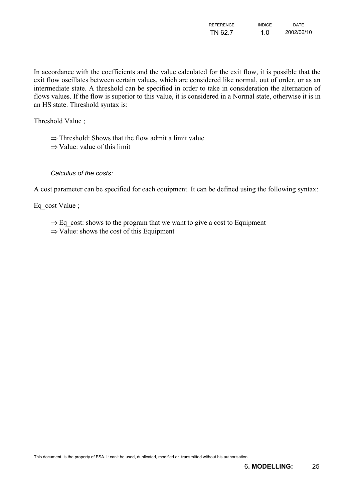| REFERENCE | <b>INDICE</b> | <b>DATE</b> |
|-----------|---------------|-------------|
| TN 62.7   | 1.0           | 2002/06/10  |

In accordance with the coefficients and the value calculated for the exit flow, it is possible that the exit flow oscillates between certain values, which are considered like normal, out of order, or as an intermediate state. A threshold can be specified in order to take in consideration the alternation of flows values. If the flow is superior to this value, it is considered in a Normal state, otherwise it is in an HS state. Threshold syntax is:

Threshold Value ;

⇒ Threshold: Shows that the flow admit a limit value

⇒ Value: value of this limit

#### *Calculus of the costs:*

A cost parameter can be specified for each equipment. It can be defined using the following syntax:

Eq\_cost Value ;

- ⇒ Eq\_cost: shows to the program that we want to give a cost to Equipment
- $\Rightarrow$  Value: shows the cost of this Equipment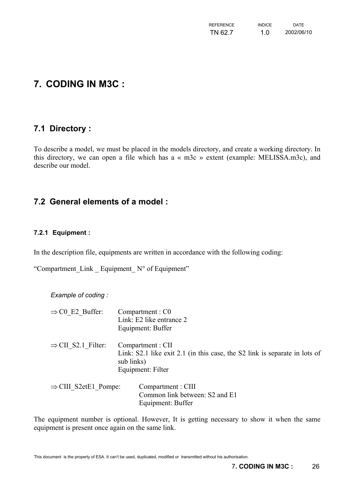| <b>REFERENCE</b> | <b>INDICE</b> | <b>DATE</b> |
|------------------|---------------|-------------|
| TN 62.7          | 1.0           | 2002/06/10  |

# <span id="page-25-0"></span>**7. CODING IN M3C :**

### **7.1 Directory :**

To describe a model, we must be placed in the models directory, and create a working directory. In this directory, we can open a file which has a « m3c » extent (example: MELISSA.m3c), and describe our model.

### **7.2 General elements of a model :**

#### **7.2.1 Equipment :**

In the description file, equipments are written in accordance with the following coding:

"Compartment Link Equipment  $N^{\circ}$  of Equipment"

*Example of coding :* 

| $\Rightarrow$ C0 E2 Buffer:      | Compartment : C0<br>Link: E2 like entrance 2<br>Equipment: Buffer                                                                  |
|----------------------------------|------------------------------------------------------------------------------------------------------------------------------------|
| $\Rightarrow$ CII S2.1 Filter:   | Compartment : CII<br>Link: S2.1 like exit 2.1 (in this case, the S2 link is separate in lots of<br>sub links)<br>Equipment: Filter |
| $\Rightarrow$ CIII S2etE1 Pompe: | Compartment : CIII<br>Common link between: S2 and E1                                                                               |

The equipment number is optional. However, It is getting necessary to show it when the same equipment is present once again on the same link.

Equipment: Buffer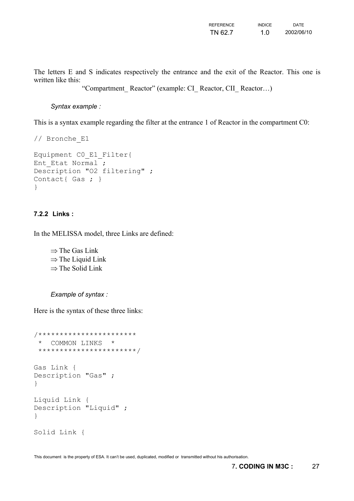| <b>REFERENCE</b> | <b>INDICE</b> | <b>DATE</b> |
|------------------|---------------|-------------|
| TN 62.7          | 1.0           | 2002/06/10  |

<span id="page-26-0"></span>The letters E and S indicates respectively the entrance and the exit of the Reactor. This one is written like this:

"Compartment\_ Reactor" (example: CI\_ Reactor, CII\_ Reactor…)

#### *Syntax example :*

This is a syntax example regarding the filter at the entrance 1 of Reactor in the compartment C0:

```
// Bronche_E1 
Equipment C0_E1_Filter{ 
Ent Etat Normal ;
Description "O2 filtering" ; 
Contact{ Gas ; }
}
```
#### **7.2.2 Links :**

In the MELISSA model, three Links are defined:

⇒ The Gas Link  $\Rightarrow$  The Liquid Link ⇒ The Solid Link

#### *Example of syntax :*

Here is the syntax of these three links:

```
/*********************** 
  * COMMON LINKS * 
  ***********************/ 
Gas Link { 
Description "Gas" ; 
} 
Liquid Link { 
Description "Liquid" ; 
} 
Solid Link {
```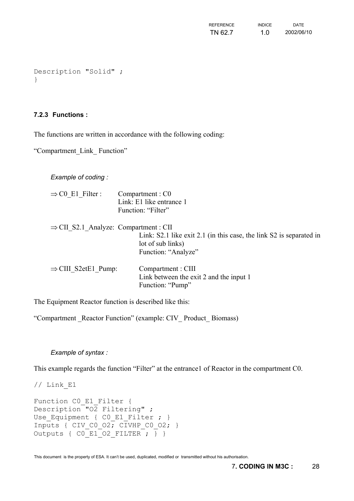| <b>REFERENCE</b> | <b>INDICE</b> | <b>DATE</b> |
|------------------|---------------|-------------|
| TN 62.7          | 1.0           | 2002/06/10  |

```
Description "Solid" ; 
}
```
#### **7.2.3 Functions :**

The functions are written in accordance with the following coding:

"Compartment\_Link\_ Function"

*Example of coding :* 

| $\Rightarrow$ C0 E1 Filter :                      | Compartment : C0<br>Link: E1 like entrance 1<br>Function: "Filter"                                              |
|---------------------------------------------------|-----------------------------------------------------------------------------------------------------------------|
| $\Rightarrow$ CII S2.1 Analyze: Compartment : CII | Link: S2.1 like exit 2.1 (in this case, the link S2 is separated in<br>lot of sub links)<br>Function: "Analyze" |
| $\Rightarrow$ CIII S2etE1 Pump:                   | Compartment : CIII<br>Link between the exit 2 and the input 1<br>Function: "Pump"                               |

The Equipment Reactor function is described like this:

"Compartment \_Reactor Function" (example: CIV\_ Product\_ Biomass)

#### *Example of syntax :*

This example regards the function "Filter" at the entrance1 of Reactor in the compartment C0.

 $//$  Link E1

```
Function CO E1 Filter {
Description\overline{''} \overline{O2} Filtering" ;
Use_Equipment { C0_E1_Filter ; } 
Inputs { CIV CO O2; CIVHP CO O2; }
Outputs { CO E1 02 FILTER ; } }
```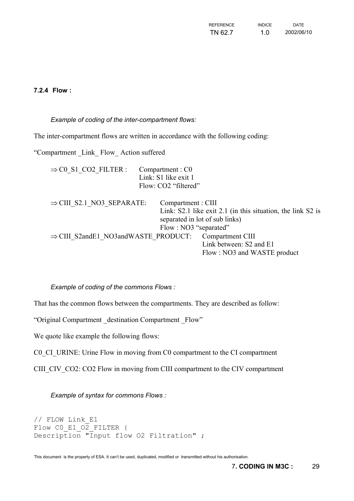| REFERENCE | <b>INDICF</b> | <b>DATE</b> |
|-----------|---------------|-------------|
| TN 62.7   | 1.0           | 2002/06/10  |

#### <span id="page-28-0"></span>**7.2.4 Flow :**

#### *Example of coding of the inter-compartment flows:*

The inter-compartment flows are written in accordance with the following coding:

"Compartment Link Flow Action suffered

| $\Rightarrow$ CO S1 CO2 FILTER :                | Compartment : C0      |                                                             |
|-------------------------------------------------|-----------------------|-------------------------------------------------------------|
|                                                 | Link: S1 like exit 1  |                                                             |
|                                                 | Flow: CO2 "filtered"  |                                                             |
| $\Rightarrow$ CIII S2.1 NO3 SEPARATE:           | Compartment : CIII    |                                                             |
|                                                 |                       | Link: S2.1 like exit 2.1 (in this situation, the link S2 is |
|                                                 |                       | separated in lot of sub links)                              |
|                                                 | Flow: NO3 "separated" |                                                             |
| $\Rightarrow$ CIII S2andE1 NO3andWASTE PRODUCT: |                       | Compartment CIII                                            |
|                                                 |                       | Link between: S2 and E1                                     |
|                                                 |                       | Flow: NO3 and WASTE product                                 |
|                                                 |                       |                                                             |

#### *Example of coding of the commons Flows :*

That has the common flows between the compartments. They are described as follow:

"Original Compartment \_destination Compartment \_Flow"

We quote like example the following flows:

C0 CI URINE: Urine Flow in moving from C0 compartment to the CI compartment

CIII CIV CO2: CO2 Flow in moving from CIII compartment to the CIV compartment

*Example of syntax for commons Flows :* 

```
// FLOW Link_E1 
Flow CO E1 \overline{O2} FILTER {
Description "Input flow O2 Filtration" ;
```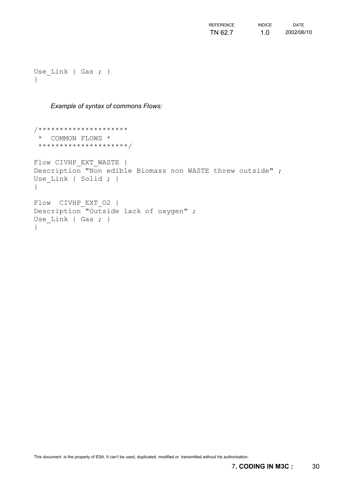| REFERENCE | <b>INDICF</b> | <b>DATE</b> |
|-----------|---------------|-------------|
| TN 62.7   | 1.0           | 2002/06/10  |

```
Use Link { Gas ; }
}
```
*Example of syntax of commons Flows:* 

```
/********************* 
  * COMMON FLOWS * 
  *********************/ 
Flow CIVHP EXT WASTE {
Description "Non edible Biomass non WASTE threw outside" ; 
Use Link { Solid ; }
} 
Flow CIVHP_EXT_O2 { 
Description "Outside lack of oxygen" ; 
Use Link { Gas ; }
}
```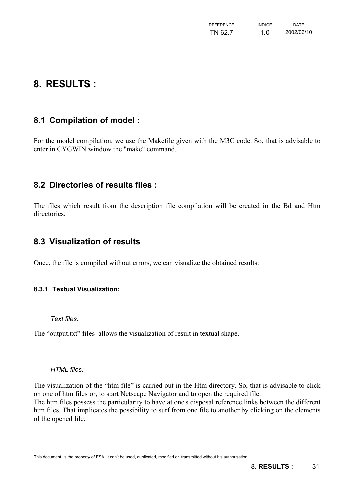| <b>REFERENCE</b> | <b>INDICE</b> | <b>DATE</b> |
|------------------|---------------|-------------|
| TN 62.7          | 1.0           | 2002/06/10  |

# <span id="page-30-0"></span>**8. RESULTS :**

## **8.1 Compilation of model :**

For the model compilation, we use the Makefile given with the M3C code. So, that is advisable to enter in CYGWIN window the "make" command.

#### **8.2 Directories of results files :**

The files which result from the description file compilation will be created in the Bd and Htm directories.

#### **8.3 Visualization of results**

Once, the file is compiled without errors, we can visualize the obtained results:

#### **8.3.1 Textual Visualization:**

*Text files:* 

The "output.txt" files allows the visualization of result in textual shape.

*HTML files:* 

The visualization of the "htm file" is carried out in the Htm directory. So, that is advisable to click on one of htm files or, to start Netscape Navigator and to open the required file. The htm files possess the particularity to have at one's disposal reference links between the different htm files. That implicates the possibility to surf from one file to another by clicking on the elements of the opened file.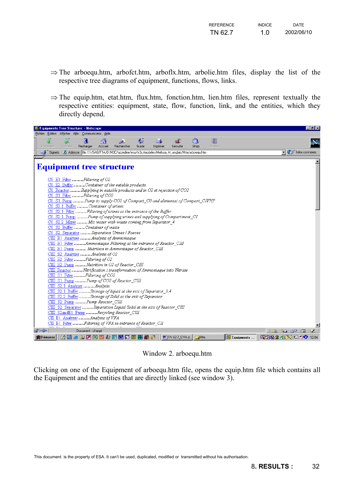| <b>REFERENCE</b> | <b>INDICF</b> | <b>DATE</b> |
|------------------|---------------|-------------|
| TN 62.7          | 1.0           | 2002/06/10  |

- ⇒ The arboequ.htm, arbofct.htm, arboflx.htm, arbolie.htm files, display the list of the respective tree diagrams of equipment, functions, flows, links.
- ⇒ The equip.htm, etat.htm, flux.htm, fonction.htm, lien.htm files, represent textually the respective entities: equipment, state, flow, function, link, and the entities, which they directly depend.

| Equipments Tree Structure: - Netscape                                                                                                 | $\Box$ e $\mathbf{x}$                                          |  |  |  |  |  |
|---------------------------------------------------------------------------------------------------------------------------------------|----------------------------------------------------------------|--|--|--|--|--|
| Fichier Edition Afficher Aller Communicator Aide                                                                                      |                                                                |  |  |  |  |  |
| 2<br>$\hat{c}$<br>合<br>Guide<br>Shop<br>Précédent<br>Suivant<br>Recharger<br>Rechercher<br>Imprimer<br>Sécurité<br>Arrêter<br>Accueil | N                                                              |  |  |  |  |  |
| Signets<br>Adresse : file:////SAGITTA/D/M3C/azzedine/esa/m3c/modeles/Melissa_M_anglais/Htm/arboequ.htm                                | $\overline{\mathbf{y}}$ $\overline{\mathbf{y}}$ Infos connexes |  |  |  |  |  |
|                                                                                                                                       |                                                                |  |  |  |  |  |
| <b>Equipment tree structure</b>                                                                                                       |                                                                |  |  |  |  |  |
| C0 E1 Filter Filtering of O2                                                                                                          |                                                                |  |  |  |  |  |
| C0 E2 Buffer Container of the eatable products                                                                                        |                                                                |  |  |  |  |  |
| C0 Reactor Supplying in eatable products and in O2 et rejection of CO2                                                                |                                                                |  |  |  |  |  |
| C0 S1 Filter  Filtering of CO2                                                                                                        |                                                                |  |  |  |  |  |
| C0 S1 Pump Pump to supply CO2 of Compart C0 and alimentat of Compart CIVHP                                                            |                                                                |  |  |  |  |  |
| C0 S2.1 Buffer Container of urines                                                                                                    |                                                                |  |  |  |  |  |
| C0 S2.1 Filter  Filtering of urines at the entrance of the Buffer                                                                     |                                                                |  |  |  |  |  |
| C0 S2.1 Pump Pump of supplying urines and supplying of Compartment CI                                                                 |                                                                |  |  |  |  |  |
| C0 S2.2 Mixer Mix water with waste coming from Separator 4                                                                            |                                                                |  |  |  |  |  |
| C0 S2 Buffer Container of waste                                                                                                       |                                                                |  |  |  |  |  |
| C0 S2 Separator Separation Urines / Faeces                                                                                            |                                                                |  |  |  |  |  |
| CIII E1 Analyzer  Analysis of Ammoniaque                                                                                              |                                                                |  |  |  |  |  |
| CIII E1 Filter Ammoniaque Filtering at the entrance of Reactor CIII                                                                   |                                                                |  |  |  |  |  |
| CIII E1 Pump  Mutrition in Ammoniaque of Reactor CIII                                                                                 |                                                                |  |  |  |  |  |
| CIII E2 Analyzer Analysis of O2                                                                                                       |                                                                |  |  |  |  |  |
| CIII E2 Filter  Filtering of O2                                                                                                       |                                                                |  |  |  |  |  |
| CIII E2 Pump  Nutrition in O2 of Reactor CIII                                                                                         |                                                                |  |  |  |  |  |
| CIII Reactor Nitrification : transformation of Ammoniaque into Nitrate                                                                |                                                                |  |  |  |  |  |
| CIII S1 Filter  Filtering of CO2                                                                                                      |                                                                |  |  |  |  |  |
| CIII S1 Pump  Pump of CO2 of Reactor_CIII                                                                                             |                                                                |  |  |  |  |  |
| CIII S2.1 Analyzer Analysis                                                                                                           |                                                                |  |  |  |  |  |
| CIII S2.1 Buffer Storage of liquid at the exit of Separator_3.4                                                                       |                                                                |  |  |  |  |  |
| CIII S2.2 Buffer Storage of Solid at the exit of Separator                                                                            |                                                                |  |  |  |  |  |
| CIII S2 Pump Pump Reactor_CIII                                                                                                        |                                                                |  |  |  |  |  |
| CIII S2 Separator Separation Liquid Solid at the exit of Reactor CIII                                                                 |                                                                |  |  |  |  |  |
| CIII S2andE1 Pump Recycling Reactor_CIII                                                                                              |                                                                |  |  |  |  |  |
| CII E1 Analyzer  Analysis of VFA                                                                                                      |                                                                |  |  |  |  |  |
| CII E1 Filter  Filtering of VFA in entrance of Reactor_CII                                                                            |                                                                |  |  |  |  |  |
| FREE<br>Document : chargé<br>目器                                                                                                       | 32 62 FA                                                       |  |  |  |  |  |
| <b>990080000000000000</b><br>图 TN 62-7_0 VA.d <del>□</del> Htm<br><b>Equipments</b><br>6 岡<br><b>B</b> Démarrer                       | QHN京田グイコの● 1204                                                |  |  |  |  |  |
|                                                                                                                                       |                                                                |  |  |  |  |  |

Window 2. arboequ.htm

Clicking on one of the Equipment of arboequ.htm file, opens the equip.htm file which contains all the Equipment and the entities that are directly linked (see window 3).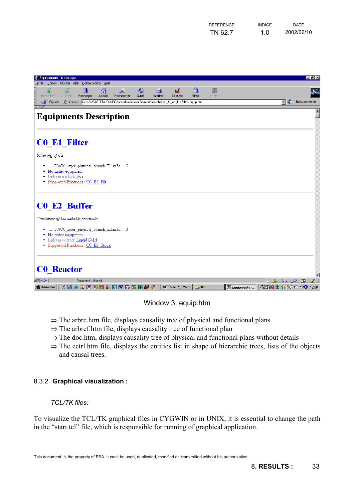| <b>REFERENCE</b> | <b>INDICF</b> | <b>DATE</b> |
|------------------|---------------|-------------|
| TN 62.7          | 1.0           | 2002/06/10  |

<span id="page-32-0"></span>

| 类 Equipments - Netscape                           |               |                                                                                                           |         |                                                                                              |            |          |                 |                |              |              |    |                                                                                           | $  P  \times$ |
|---------------------------------------------------|---------------|-----------------------------------------------------------------------------------------------------------|---------|----------------------------------------------------------------------------------------------|------------|----------|-----------------|----------------|--------------|--------------|----|-------------------------------------------------------------------------------------------|---------------|
| Fichier Edition Afficher Aller Communicator Aide  |               |                                                                                                           |         |                                                                                              |            |          |                 |                |              |              |    |                                                                                           |               |
| as <b>4</b> amounts<br>Précédent                  | S.<br>Suivant | и<br>Recharger                                                                                            | Accueil | فلخط<br>Rechercher                                                                           | €<br>Guide | Imprimer | Sécurité        | o <br>Shop     | 2<br>Arrêter |              |    |                                                                                           | $\mathbf{N}$  |
| Signets                                           |               |                                                                                                           |         | At Adresse : file:////SAGITTA/D/M3C/azzedine/esa/m3c/modeles/Melissa_M_anglais/Htm/equip.htm |            |          |                 |                |              |              |    | $\overline{\phantom{a}}$ $\overline{\phantom{a}}$ $\overline{\phantom{a}}$ infos connexes |               |
| <b>Equipments Description</b>                     |               |                                                                                                           |         |                                                                                              |            |          |                 |                |              |              |    |                                                                                           |               |
| <b>C0 E1 Filter</b>                               |               |                                                                                                           |         |                                                                                              |            |          |                 |                |              |              |    |                                                                                           |               |
| Filtering of O2                                   |               |                                                                                                           |         |                                                                                              |            |          |                 |                |              |              |    |                                                                                           |               |
| • No father equipment.<br>· Links in contact :Gas |               | ·  CONCO_layer_physical_branch_E1.m3c3<br>Supported Functions : C0 E1 Filt                                |         |                                                                                              |            |          |                 |                |              |              |    |                                                                                           |               |
| <b>C0 E2 Buffer</b>                               |               |                                                                                                           |         |                                                                                              |            |          |                 |                |              |              |    |                                                                                           |               |
| Container of the eatable products                 |               |                                                                                                           |         |                                                                                              |            |          |                 |                |              |              |    |                                                                                           |               |
| · No father equipment.                            |               | CONCO_layer_physical_branch_E2.m3c3<br>Links in contact Liquid Solid<br>Supported Functions : C0 E2 Stock |         |                                                                                              |            |          |                 |                |              |              |    |                                                                                           |               |
| <b>C0</b> Reactor                                 |               |                                                                                                           |         |                                                                                              |            |          |                 |                |              |              |    |                                                                                           |               |
| $\blacksquare$                                    |               | Document : chargé                                                                                         |         |                                                                                              |            |          |                 |                |              |              | 目器 | 化热 动图 国                                                                                   | st.           |
| <b>BDémarrer</b>                                  |               |                                                                                                           |         | <b>ZA 3 9 8 2 2 2 3 4 5 6 7 8 7 8 8 7 8 3</b>                                                |            |          | 网TN 62-7_0 VA.d | $\bigodot$ Htm |              | Equipments - |    | 電磁家理 ダイ = や 12:06                                                                         |               |

#### Window 3. equip.htm

- ⇒ The arbre.htm file, displays causality tree of physical and functional plans
- ⇒ The arbref.htm file, displays causality tree of functional plan
- $\Rightarrow$  The doc.htm, displays causality tree of physical and functional plans without details
- $\Rightarrow$  The ectrl.htm file, displays the entities list in shape of hierarchic trees, lists of the objects and causal trees.

#### 8.3.2 **Graphical visualization :**

#### *TCL/TK files:*

To visualize the TCL/TK graphical files in CYGWIN or in UNIX, it is essential to change the path in the "start.tcl" file, which is responsible for running of graphical application.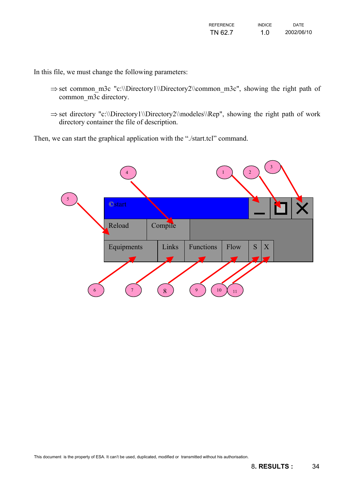In this file, we must change the following parameters:

- ⇒ set common\_m3c "c:\\Directory1\\Directory2\\common\_m3c", showing the right path of common m3c directory.
- ⇒ set directory "c:\\Directory1\\Directory2\\modeles\\Rep", showing the right path of work directory container the file of description.

Then, we can start the graphical application with the "./start.tcl" command.

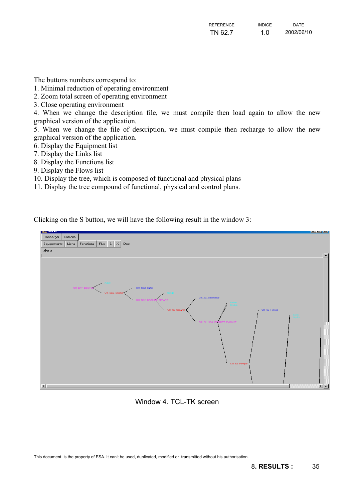The buttons numbers correspond to:

1. Minimal reduction of operating environment

2. Zoom total screen of operating environment

3. Close operating environment

4. When we change the description file, we must compile then load again to allow the new graphical version of the application.

5. When we change the file of description, we must compile then recharge to allow the new graphical version of the application.

6. Display the Equipment list

7. Display the Links list

8. Display the Functions list

9. Display the Flows list

10. Display the tree, which is composed of functional and physical plans

11. Display the tree compound of functional, physical and control plans.

Clicking on the S button, we will have the following result in the window 3:



Window 4. TCL-TK screen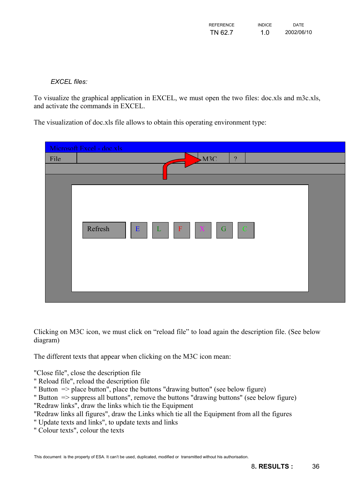| REFERENCE | <b>INDICF</b> | <b>DATE</b> |
|-----------|---------------|-------------|
| TN 62.7   | 1.0           | 2002/06/10  |

*EXCEL files:* 

To visualize the graphical application in EXCEL, we must open the two files: doc.xls and m3c.xls, and activate the commands in EXCEL.

The visualization of doc.xls file allows to obtain this operating environment type:

| Microsoft Excel - doc xls<br>M3C<br>File<br>$\gamma$                                       |  |
|--------------------------------------------------------------------------------------------|--|
| Refresh<br>$\mathbb{C}$<br>E<br>$\mathbf F$<br>$\mathbf G$<br>$\mathbf{L}$<br>$\mathbf{X}$ |  |

Clicking on M3C icon, we must click on "reload file" to load again the description file. (See below diagram)

The different texts that appear when clicking on the M3C icon mean:

"Close file", close the description file

" Reload file", reload the description file

" Button  $\Rightarrow$  place button", place the buttons "drawing button" (see below figure)

" Button  $\Rightarrow$  suppress all buttons", remove the buttons "drawing buttons" (see below figure)

"Redraw links", draw the links which tie the Equipment

"Redraw links all figures", draw the Links which tie all the Equipment from all the figures

- " Update texts and links", to update texts and links
- " Colour texts", colour the texts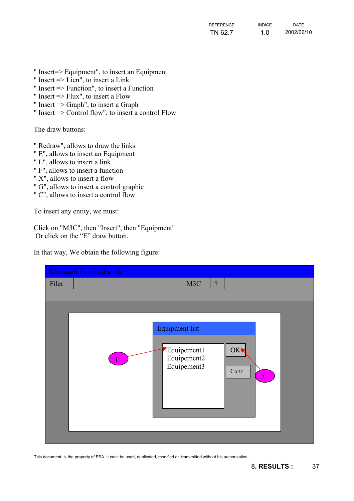- " Insert=> Equipment", to insert an Equipment
- " Insert => Lien", to insert a Link
- " Insert => Function", to insert a Function
- " Insert => Flux", to insert a Flow
- " Insert => Graph", to insert a Graph
- " Insert => Control flow", to insert a control Flow

The draw buttons:

- " Redraw", allows to draw the links
- " E", allows to insert an Equipment
- " L", allows to insert a link
- " F", allows to insert a function
- " X", allows to insert a flow
- " G", allows to insert a control graphic
- " C", allows to insert a control flow

To insert any entity, we must:

Click on "M3C", then "Insert", then "Equipment" Or click on the "E" draw button.

In that way, We obtain the following figure:

|       | Microsoft Excel - doc.xls                                                                                           |
|-------|---------------------------------------------------------------------------------------------------------------------|
| Filer | M3C<br>$\overline{?}$                                                                                               |
|       |                                                                                                                     |
|       | <b>Equipment list</b><br>Equipement1<br><b>OK</b><br>Equipement2<br>Equipement3<br>Canc<br>$\overline{\mathcal{L}}$ |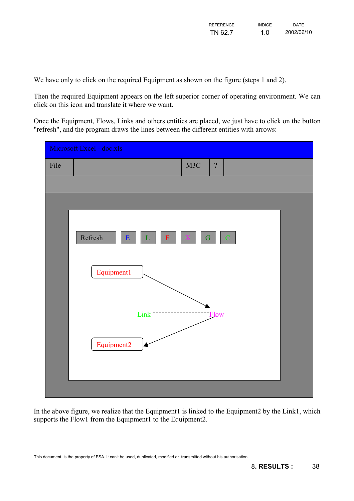We have only to click on the required Equipment as shown on the figure (steps 1 and 2).

Then the required Equipment appears on the left superior corner of operating environment. We can click on this icon and translate it where we want.

Once the Equipment, Flows, Links and others entities are placed, we just have to click on the button "refresh", and the program draws the lines between the different entities with arrows:



In the above figure, we realize that the Equipment1 is linked to the Equipment2 by the Link1, which supports the Flow1 from the Equipment1 to the Equipment2.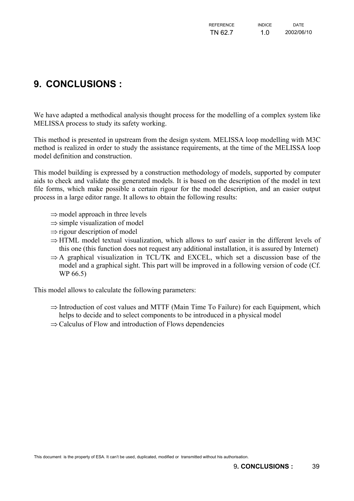# <span id="page-38-0"></span>**9. CONCLUSIONS :**

We have adapted a methodical analysis thought process for the modelling of a complex system like MELISSA process to study its safety working.

This method is presented in upstream from the design system. MELISSA loop modelling with M3C method is realized in order to study the assistance requirements, at the time of the MELISSA loop model definition and construction.

This model building is expressed by a construction methodology of models, supported by computer aids to check and validate the generated models. It is based on the description of the model in text file forms, which make possible a certain rigour for the model description, and an easier output process in a large editor range. It allows to obtain the following results:

- ⇒ model approach in three levels
- $\Rightarrow$  simple visualization of model
- ⇒ rigour description of model
- ⇒ HTML model textual visualization, which allows to surf easier in the different levels of this one (this function does not request any additional installation, it is assured by Internet)
- ⇒ A graphical visualization in TCL/TK and EXCEL, which set a discussion base of the model and a graphical sight. This part will be improved in a following version of code (Cf. WP 66.5)

This model allows to calculate the following parameters:

- ⇒ Introduction of cost values and MTTF (Main Time To Failure) for each Equipment, which helps to decide and to select components to be introduced in a physical model
- ⇒ Calculus of Flow and introduction of Flows dependencies